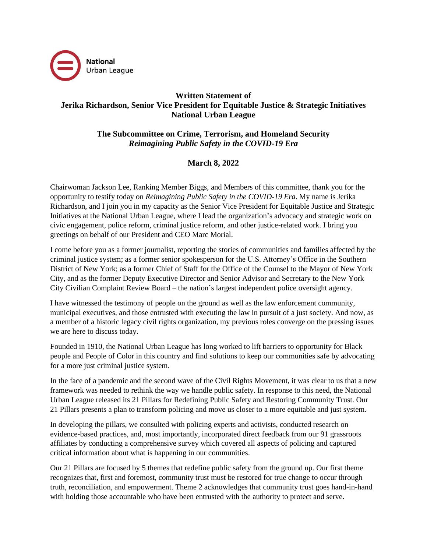

## **Written Statement of Jerika Richardson, Senior Vice President for Equitable Justice & Strategic Initiatives National Urban League**

**The Subcommittee on Crime, Terrorism, and Homeland Security** *Reimagining Public Safety in the COVID-19 Era*

## **March 8, 2022**

Chairwoman Jackson Lee, Ranking Member Biggs, and Members of this committee, thank you for the opportunity to testify today on *Reimagining Public Safety in the COVID-19 Era*. My name is Jerika Richardson, and I join you in my capacity as the Senior Vice President for Equitable Justice and Strategic Initiatives at the National Urban League, where I lead the organization's advocacy and strategic work on civic engagement, police reform, criminal justice reform, and other justice-related work. I bring you greetings on behalf of our President and CEO Marc Morial.

I come before you as a former journalist, reporting the stories of communities and families affected by the criminal justice system; as a former senior spokesperson for the U.S. Attorney's Office in the Southern District of New York; as a former Chief of Staff for the Office of the Counsel to the Mayor of New York City, and as the former Deputy Executive Director and Senior Advisor and Secretary to the New York City Civilian Complaint Review Board – the nation's largest independent police oversight agency.

I have witnessed the testimony of people on the ground as well as the law enforcement community, municipal executives, and those entrusted with executing the law in pursuit of a just society. And now, as a member of a historic legacy civil rights organization, my previous roles converge on the pressing issues we are here to discuss today.

Founded in 1910, the National Urban League has long worked to lift barriers to opportunity for Black people and People of Color in this country and find solutions to keep our communities safe by advocating for a more just criminal justice system.

In the face of a pandemic and the second wave of the Civil Rights Movement, it was clear to us that a new framework was needed to rethink the way we handle public safety. In response to this need, the National Urban League released its 21 Pillars for Redefining Public Safety and Restoring Community Trust. Our 21 Pillars presents a plan to transform policing and move us closer to a more equitable and just system.

In developing the pillars, we consulted with policing experts and activists, conducted research on evidence-based practices, and, most importantly, incorporated direct feedback from our 91 grassroots affiliates by conducting a comprehensive survey which covered all aspects of policing and captured critical information about what is happening in our communities.

Our 21 Pillars are focused by 5 themes that redefine public safety from the ground up. Our first theme recognizes that, first and foremost, community trust must be restored for true change to occur through truth, reconciliation, and empowerment. Theme 2 acknowledges that community trust goes hand-in-hand with holding those accountable who have been entrusted with the authority to protect and serve.